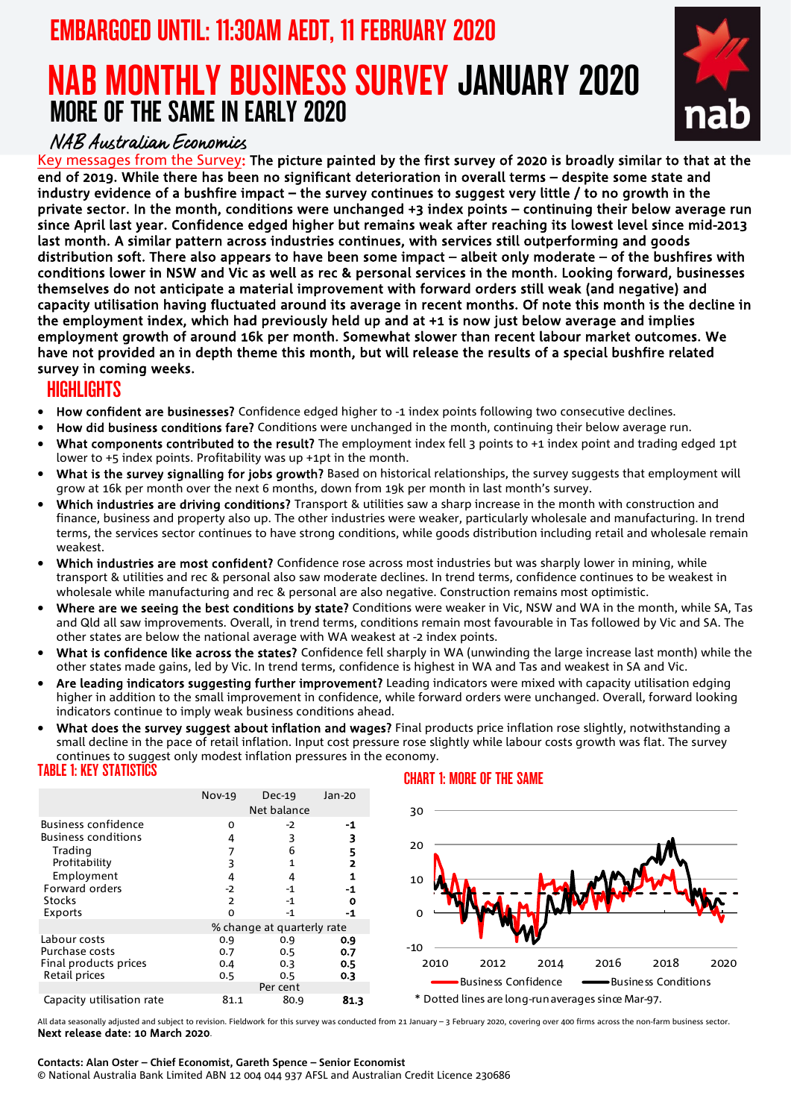## EMBARGOED UNTIL: 11:30AM AEDT, 11 FEBRUARY 2020

# NAB MONTHLY BUSINESS SURVEY JANUARY 2020 MORE OF THE SAME IN EARLY 2020



### NAB Australian Economics

Key messages from the Survey: The picture painted by the first survey of 2020 is broadly similar to that at the end of 2019. While there has been no significant deterioration in overall terms – despite some state and industry evidence of a bushfire impact – the survey continues to suggest very little / to no growth in the private sector. In the month, conditions were unchanged +3 index points – continuing their below average run since April last year. Confidence edged higher but remains weak after reaching its lowest level since mid-2013 last month. A similar pattern across industries continues, with services still outperforming and goods distribution soft. There also appears to have been some impact – albeit only moderate – of the bushfires with conditions lower in NSW and Vic as well as rec & personal services in the month. Looking forward, businesses themselves do not anticipate a material improvement with forward orders still weak (and negative) and capacity utilisation having fluctuated around its average in recent months. Of note this month is the decline in the employment index, which had previously held up and at +1 is now just below average and implies employment growth of around 16k per month. Somewhat slower than recent labour market outcomes. We have not provided an in depth theme this month, but will release the results of a special bushfire related survey in coming weeks.

### HIGHLIGHTS

- How confident are businesses? Confidence edged higher to -1 index points following two consecutive declines.
- How did business conditions fare? Conditions were unchanged in the month, continuing their below average run.
- What components contributed to the result? The employment index fell 3 points to +1 index point and trading edged 1pt lower to +5 index points. Profitability was up +1pt in the month.
- What is the survey signalling for jobs growth? Based on historical relationships, the survey suggests that employment will grow at 16k per month over the next 6 months, down from 19k per month in last month's survey.
- Which industries are driving conditions? Transport & utilities saw a sharp increase in the month with construction and finance, business and property also up. The other industries were weaker, particularly wholesale and manufacturing. In trend terms, the services sector continues to have strong conditions, while goods distribution including retail and wholesale remain weakest.
- Which industries are most confident? Confidence rose across most industries but was sharply lower in mining, while transport & utilities and rec & personal also saw moderate declines. In trend terms, confidence continues to be weakest in wholesale while manufacturing and rec & personal are also negative. Construction remains most optimistic.
- Where are we seeing the best conditions by state? Conditions were weaker in Vic, NSW and WA in the month, while SA, Tas and Qld all saw improvements. Overall, in trend terms, conditions remain most favourable in Tas followed by Vic and SA. The other states are below the national average with WA weakest at -2 index points.
- What is confidence like across the states? Confidence fell sharply in WA (unwinding the large increase last month) while the other states made gains, led by Vic. In trend terms, confidence is highest in WA and Tas and weakest in SA and Vic.
- Are leading indicators suggesting further improvement? Leading indicators were mixed with capacity utilisation edging higher in addition to the small improvement in confidence, while forward orders were unchanged. Overall, forward looking indicators continue to imply weak business conditions ahead.
- What does the survey suggest about inflation and wages? Final products price inflation rose slightly, notwithstanding a small decline in the pace of retail inflation. Input cost pressure rose slightly while labour costs growth was flat. The survey continues to suggest only modest inflation pressures in the economy. TABLE 1: KEY STATISTICS CHART 1: MORE OF THE SAME



All data seasonally adjusted and subject to revision. Fieldwork for this survey was conducted from 21 January – 3 February 2020, covering over 400 firms across the non-farm business sector. Next release date: 10 March 2020.

### **Contacts: Alan Oster – Chief Economist, Gareth Spence – Senior Economist** © National Australia Bank Limited ABN 12 004 044 937 AFSL and Australian Credit Licence 230686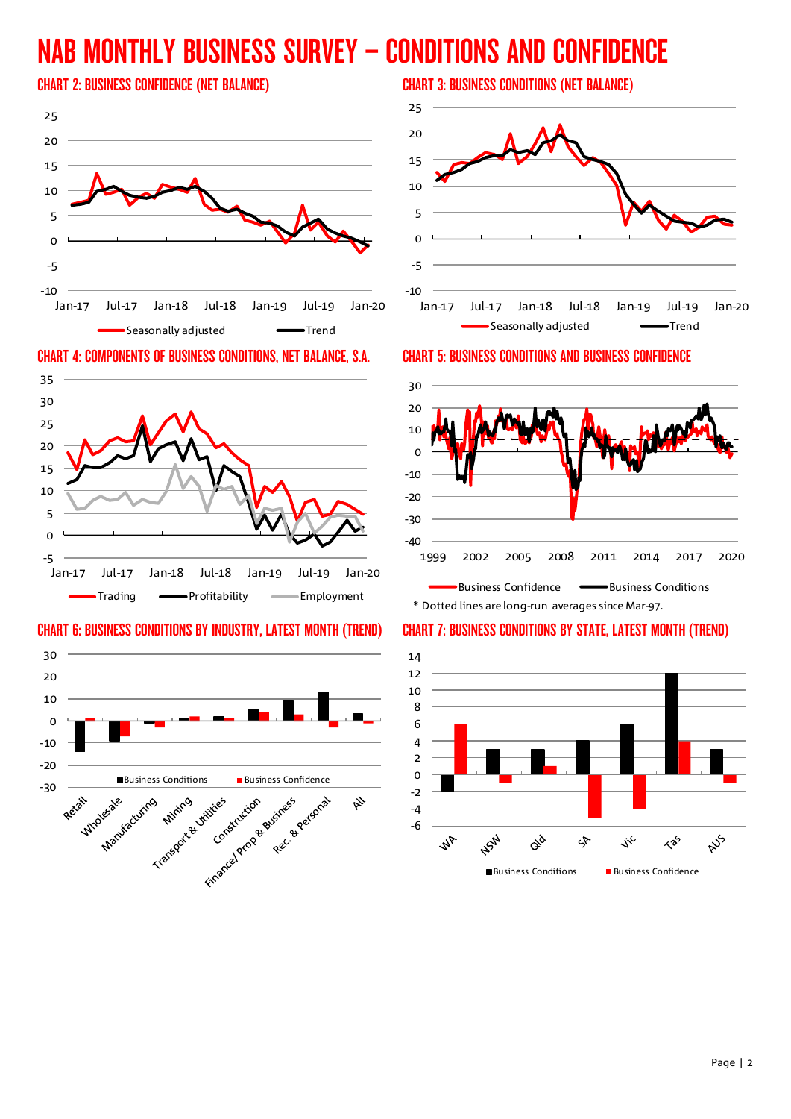# NAB MONTHLY BUSINESS SURVEY – CONDITIONS AND CONFIDENCE



### CHART 4: COMPONENTS OF BUSINESS CONDITIONS, NET BALANCE, S.A. CHART 5: BUSINESS CONDITIONS AND BUSINESS CONFIDENCE



### CHART 6: BUSINESS CONDITIONS BY INDUSTRY, LATEST MONTH (TREND) CHART 7: BUSINESS CONDITIONS BY STATE, LATEST MONTH (TREND)



### CHART 2: BUSINESS CONFIDENCE (NET BALANCE) CHART 3: BUSINESS CONDITIONS (NET BALANCE)



### -40 -30 -20 -10  $\Omega$ 10 20 30

1999 2002 2005 2008 2011 2014 2017 2020

Business Confidence **Business** Conditions \* Dotted lines are long-run averages since Mar-97.

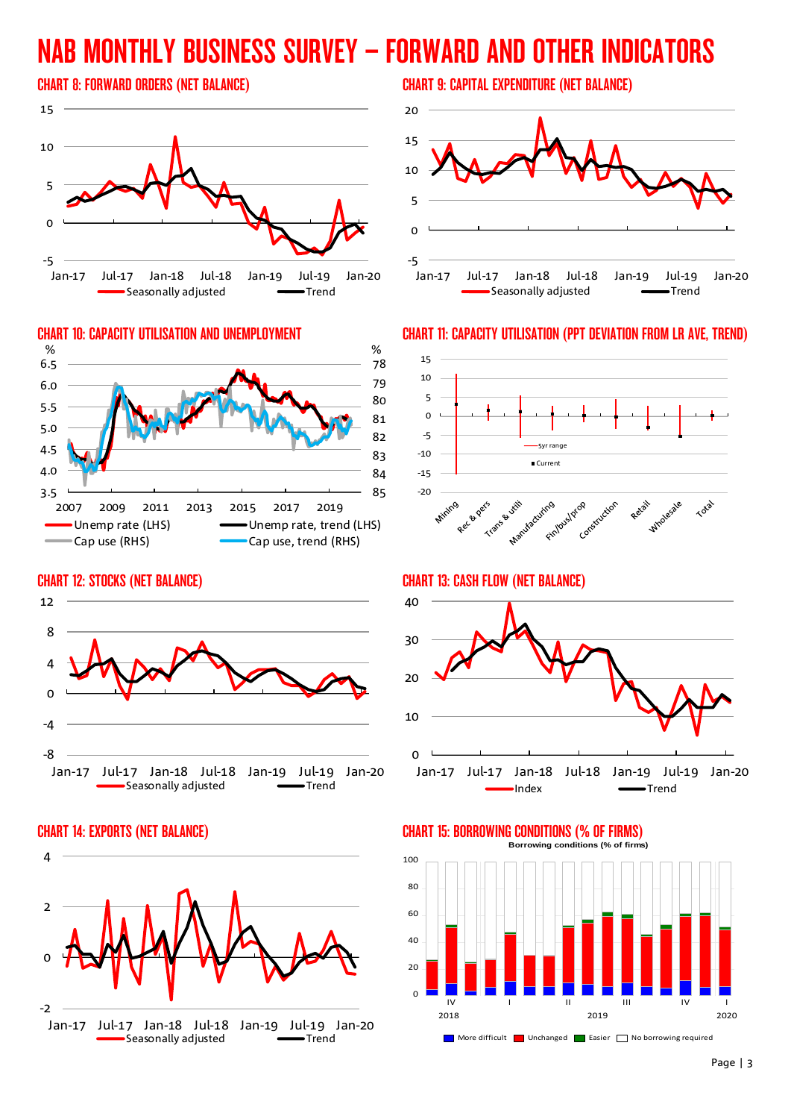# NAB MONTHLY BUSINESS SURVEY – FORWARD AND OTHER INDICATORS



### **CHART 10: CAPACITY UTILISATION AND UNEMPLOYMENT** 78 79 80 81 82 83 84 3.5 85 4.0 4.5 5.0 5.5 6.0 6.5 2007 2009 2011 2013 2015 2017 2019 Unemp rate (LHS) **Contained Unemp rate, trend (LHS)** -Cap use (RHS) Cap use, trend (RHS)  $\%$

### CHART 12: STOCKS (NET BALANCE)







### CHART 8: FORWARD ORDERS (NET BALANCE) CHART 9: CAPITAL EXPENDITURE (NET BALANCE)



### CHART 11: CAPACITY UTILISATION (PPT DEVIATION FROM LR AVE, TREND)



CHART 13: CASH FLOW (NET BALANCE)





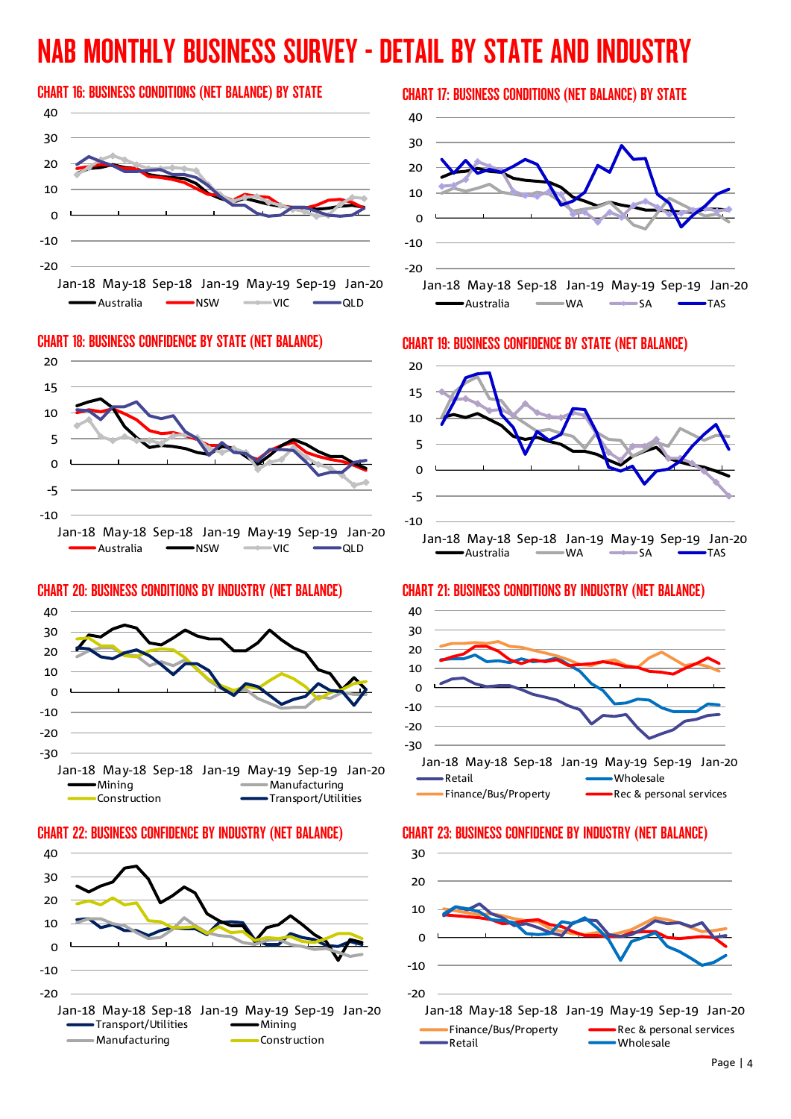# NAB MONTHLY BUSINESS SURVEY - DETAIL BY STATE AND INDUSTRY

### CHART 16: BUSINESS CONDITIONS (NET BALANCE) BY STATE CHART 17: BUSINESS CONDITIONS (NET BALANCE) BY STATE





### -30 -20 -10  $\Omega$ 10 20 30 40 Jan-18 May-18 Sep-18 Jan-19 May-19 Sep-19 Jan-20  $-Manufacturing$

Construction **Construction** 









### CHART 20: BUSINESS CONDITIONS BY INDUSTRY (NET BALANCE) CHART 21: BUSINESS CONDITIONS BY INDUSTRY (NET BALANCE)



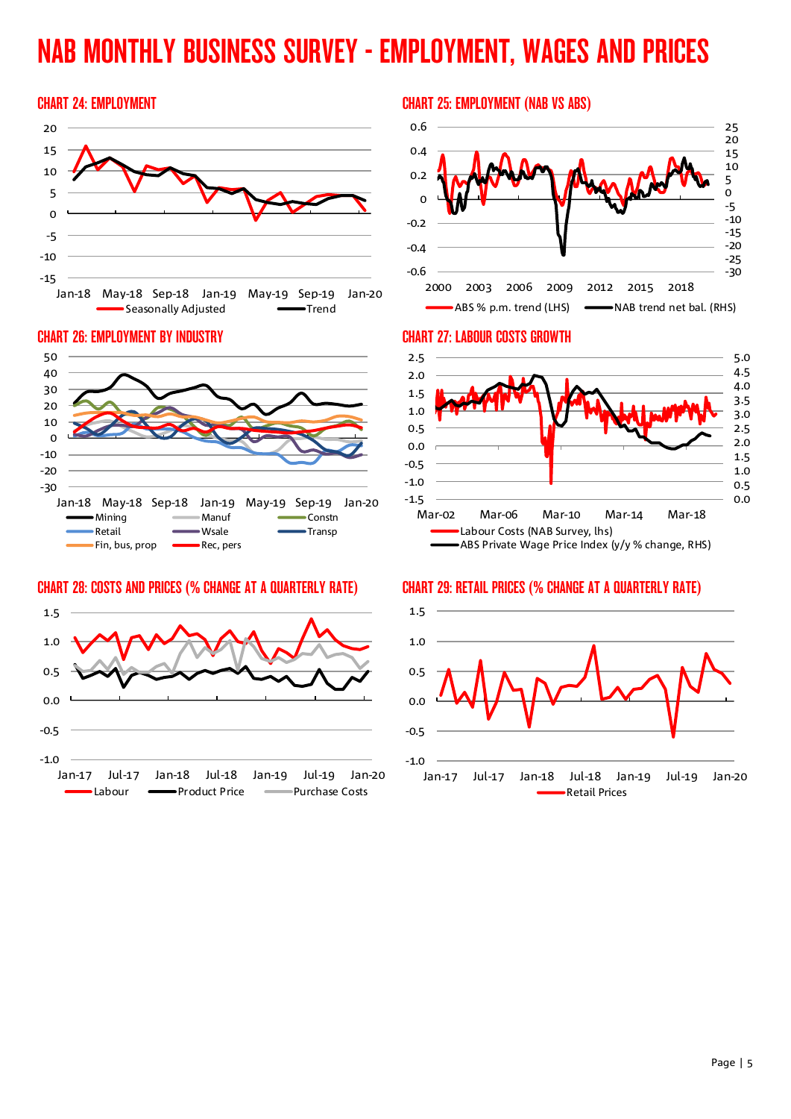# NAB MONTHLY BUSINESS SURVEY - EMPLOYMENT, WAGES AND PRICES





### CHART 28: COSTS AND PRICES (% CHANGE AT A QUARTERLY RATE) CHART 29: RETAIL PRICES (% CHANGE AT A QUARTERLY RATE)



### CHART 24: EMPLOYMENT CHART 25: EMPLOYMENT (NAB VS ABS)





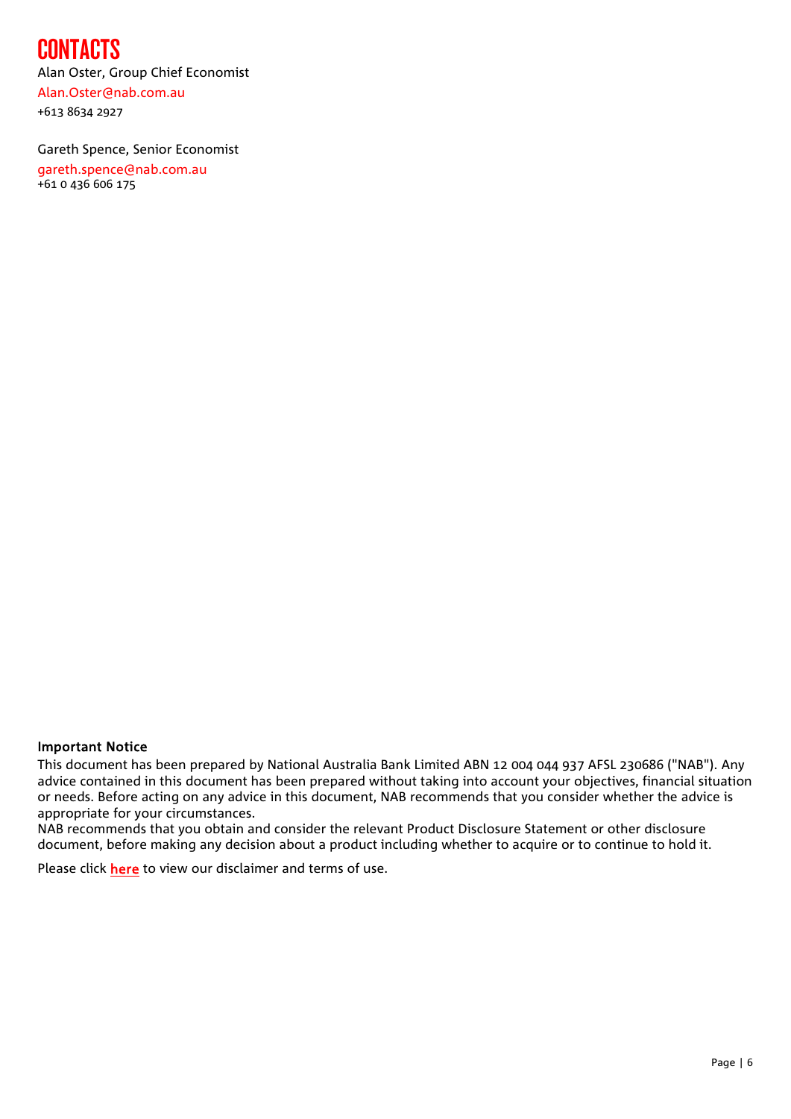## CONTACTS

Alan Oster, Group Chief Economist [Alan.Oster@nab.com.au](mailto:Alan.Oster@nab.com.au) +613 8634 2927

Gareth Spence, Senior Economist [gareth.spence@nab.com.au](mailto:gareth.spence@nab.com.au) +61 0 436 606 175

### Important Notice

This document has been prepared by National Australia Bank Limited ABN 12 004 044 937 AFSL 230686 ("NAB"). Any advice contained in this document has been prepared without taking into account your objectives, financial situation or needs. Before acting on any advice in this document, NAB recommends that you consider whether the advice is appropriate for your circumstances.

NAB recommends that you obtain and consider the relevant Product Disclosure Statement or other disclosure document, before making any decision about a product including whether to acquire or to continue to hold it.

Please click [here](http://www.nab.com.au/content/dam/nab/business/international/financial-markets/documents/nab-research-disclaimer.pdf) to view our disclaimer and terms of use.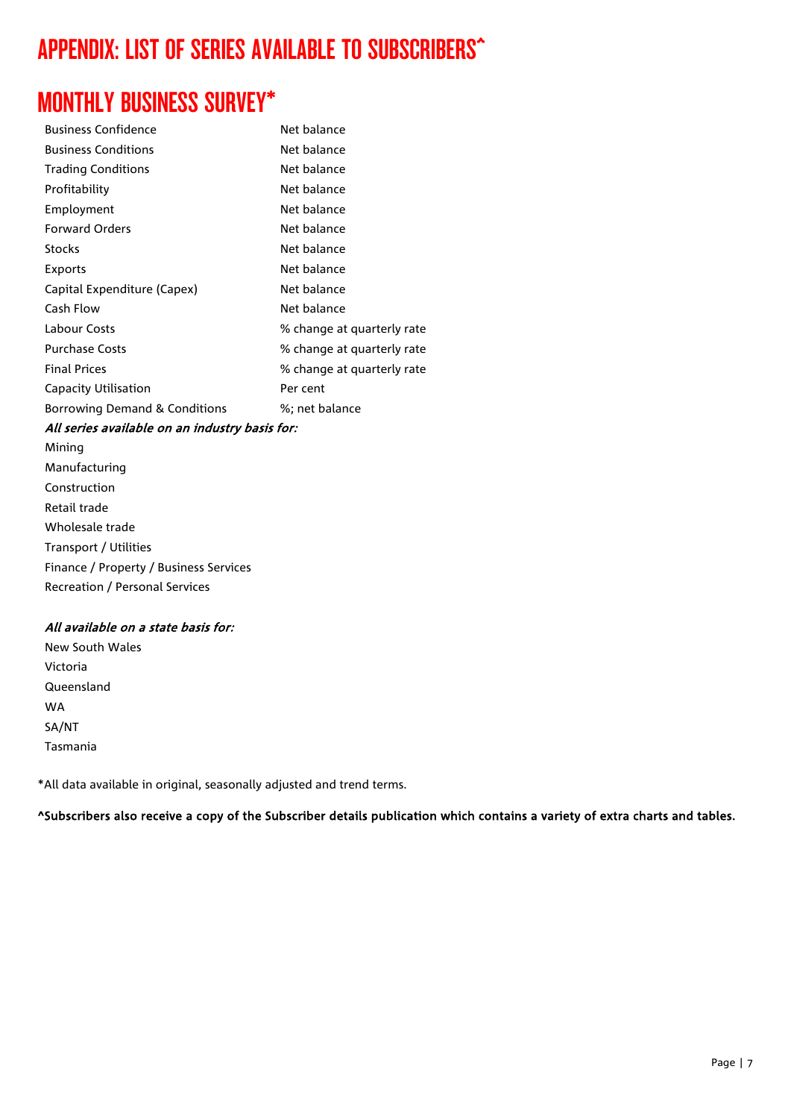## APPENDIX: LIST OF SERIES AVAILABLE TO SUBSCRIBERS^

## MONTHLY BUSINESS SURVEY\*

| <b>Business Confidence</b>    | Net balance                |
|-------------------------------|----------------------------|
| <b>Business Conditions</b>    | Net balance                |
| <b>Trading Conditions</b>     | Net balance                |
| Profitability                 | Net balance                |
| Employment                    | Net balance                |
| <b>Forward Orders</b>         | Net balance                |
| <b>Stocks</b>                 | Net balance                |
| Exports                       | Net balance                |
| Capital Expenditure (Capex)   | Net balance                |
| Cash Flow                     | Net balance                |
| Labour Costs                  | % change at quarterly rate |
| <b>Purchase Costs</b>         | % change at quarterly rate |
| <b>Final Prices</b>           | % change at quarterly rate |
| Capacity Utilisation          | Per cent                   |
| Borrowing Demand & Conditions | %; net balance             |

### All series available on an industry basis for:

Mining Manufacturing Construction Retail trade Wholesale trade Transport / Utilities Finance / Property / Business Services Recreation / Personal Services

### All available on a state basis for:

New South Wales Victoria Queensland WA SA/NT Tasmania

\*All data available in original, seasonally adjusted and trend terms.

^Subscribers also receive a copy of the Subscriber details publication which contains a variety of extra charts and tables.